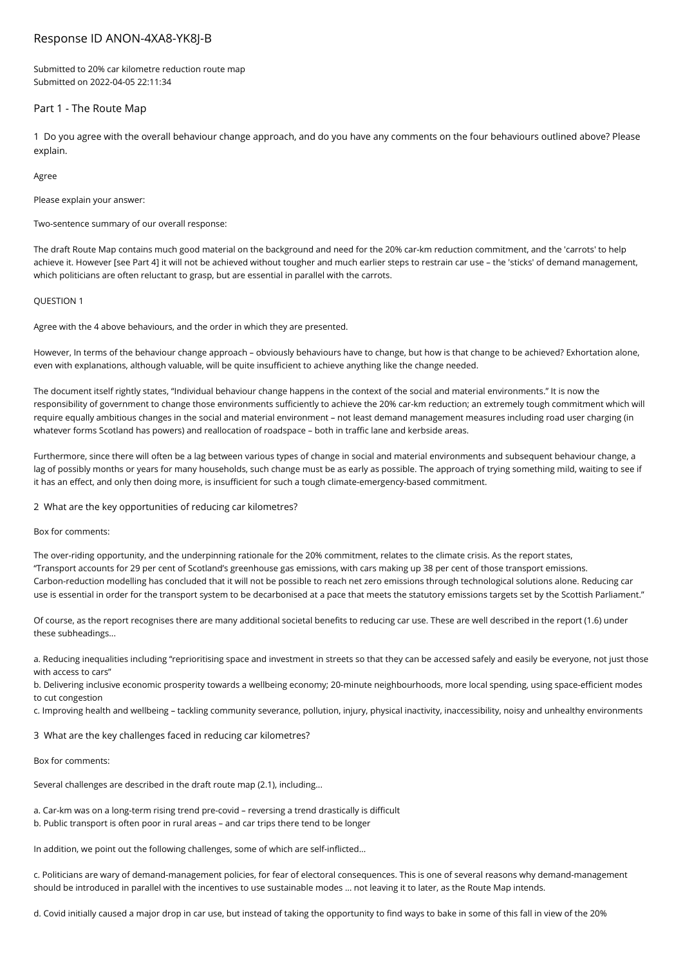# Response ID ANON-4XA8-YK8J-B

Submitted to 20% car kilometre reduction route map Submitted on 2022-04-05 22:11:34

# Part 1 - The Route Map

1 Do you agree with the overall behaviour change approach, and do you have any comments on the four behaviours outlined above? Please explain.

Agree

Please explain your answer:

Two-sentence summary of our overall response:

The draft Route Map contains much good material on the background and need for the 20% car-km reduction commitment, and the 'carrots' to help achieve it. However [see Part 4] it will not be achieved without tougher and much earlier steps to restrain car use – the 'sticks' of demand management, which politicians are often reluctant to grasp, but are essential in parallel with the carrots.

### QUESTION 1

Agree with the 4 above behaviours, and the order in which they are presented.

However, In terms of the behaviour change approach – obviously behaviours have to change, but how is that change to be achieved? Exhortation alone, even with explanations, although valuable, will be quite insufficient to achieve anything like the change needed.

The document itself rightly states, "Individual behaviour change happens in the context of the social and material environments." It is now the responsibility of government to change those environments sufficiently to achieve the 20% car-km reduction; an extremely tough commitment which will require equally ambitious changes in the social and material environment – not least demand management measures including road user charging (in whatever forms Scotland has powers) and reallocation of roadspace – both in traffic lane and kerbside areas.

Furthermore, since there will often be a lag between various types of change in social and material environments and subsequent behaviour change, a lag of possibly months or years for many households, such change must be as early as possible. The approach of trying something mild, waiting to see if it has an effect, and only then doing more, is insufficient for such a tough climate-emergency-based commitment.

2 What are the key opportunities of reducing car kilometres?

Box for comments:

The over-riding opportunity, and the underpinning rationale for the 20% commitment, relates to the climate crisis. As the report states, "Transport accounts for 29 per cent of Scotland's greenhouse gas emissions, with cars making up 38 per cent of those transport emissions. Carbon-reduction modelling has concluded that it will not be possible to reach net zero emissions through technological solutions alone. Reducing car use is essential in order for the transport system to be decarbonised at a pace that meets the statutory emissions targets set by the Scottish Parliament."

Of course, as the report recognises there are many additional societal benefits to reducing car use. These are well described in the report (1.6) under these subheadings...

a. Reducing inequalities including "reprioritising space and investment in streets so that they can be accessed safely and easily be everyone, not just those with access to cars"

b. Delivering inclusive economic prosperity towards a wellbeing economy; 20-minute neighbourhoods, more local spending, using space-efficient modes to cut congestion

c. Improving health and wellbeing – tackling community severance, pollution, injury, physical inactivity, inaccessibility, noisy and unhealthy environments

3 What are the key challenges faced in reducing car kilometres?

Box for comments:

Several challenges are described in the draft route map (2.1), including...

a. Car-km was on a long-term rising trend pre-covid – reversing a trend drastically is difficult

b. Public transport is often poor in rural areas – and car trips there tend to be longer

In addition, we point out the following challenges, some of which are self-inflicted...

c. Politicians are wary of demand-management policies, for fear of electoral consequences. This is one of several reasons why demand-management should be introduced in parallel with the incentives to use sustainable modes … not leaving it to later, as the Route Map intends.

d. Covid initially caused a major drop in car use, but instead of taking the opportunity to find ways to bake in some of this fall in view of the 20%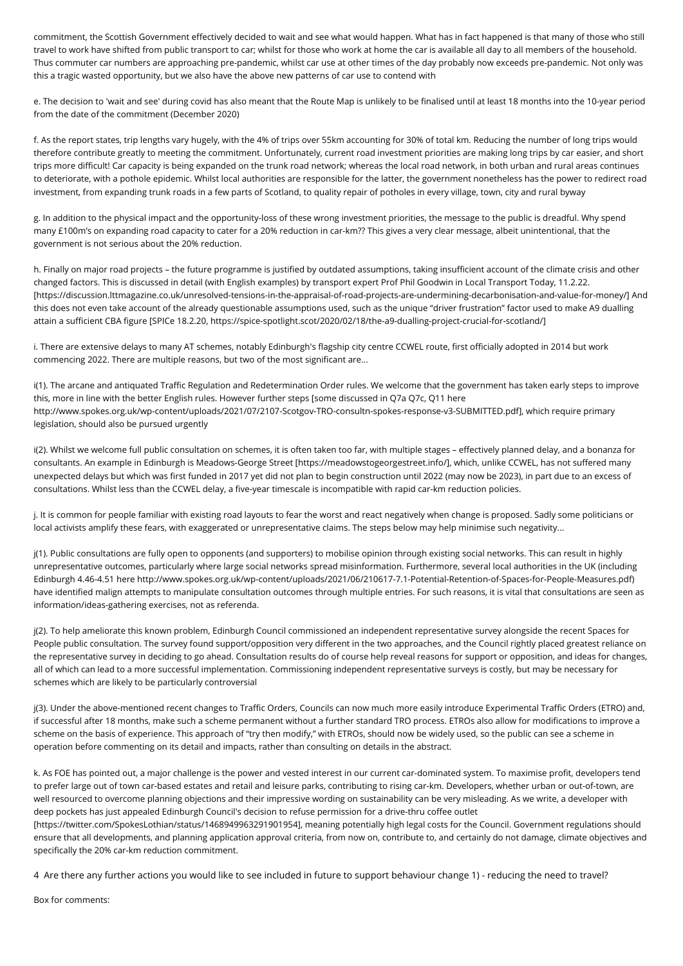commitment, the Scottish Government effectively decided to wait and see what would happen. What has in fact happened is that many of those who still travel to work have shifted from public transport to car; whilst for those who work at home the car is available all day to all members of the household. Thus commuter car numbers are approaching pre-pandemic, whilst car use at other times of the day probably now exceeds pre-pandemic. Not only was this a tragic wasted opportunity, but we also have the above new patterns of car use to contend with

e. The decision to 'wait and see' during covid has also meant that the Route Map is unlikely to be finalised until at least 18 months into the 10-year period from the date of the commitment (December 2020)

f. As the report states, trip lengths vary hugely, with the 4% of trips over 55km accounting for 30% of total km. Reducing the number of long trips would therefore contribute greatly to meeting the commitment. Unfortunately, current road investment priorities are making long trips by car easier, and short trips more difficult! Car capacity is being expanded on the trunk road network; whereas the local road network, in both urban and rural areas continues to deteriorate, with a pothole epidemic. Whilst local authorities are responsible for the latter, the government nonetheless has the power to redirect road investment, from expanding trunk roads in a few parts of Scotland, to quality repair of potholes in every village, town, city and rural byway

g. In addition to the physical impact and the opportunity-loss of these wrong investment priorities, the message to the public is dreadful. Why spend many £100m's on expanding road capacity to cater for a 20% reduction in car-km?? This gives a very clear message, albeit unintentional, that the government is not serious about the 20% reduction.

h. Finally on major road projects – the future programme is justified by outdated assumptions, taking insufficient account of the climate crisis and other changed factors. This is discussed in detail (with English examples) by transport expert Prof Phil Goodwin in Local Transport Today, 11.2.22. [https://discussion.lttmagazine.co.uk/unresolved-tensions-in-the-appraisal-of-road-projects-are-undermining-decarbonisation-and-value-for-money/] And this does not even take account of the already questionable assumptions used, such as the unique "driver frustration" factor used to make A9 dualling attain a sufficient CBA figure [SPICe 18.2.20, https://spice-spotlight.scot/2020/02/18/the-a9-dualling-project-crucial-for-scotland/]

i. There are extensive delays to many AT schemes, notably Edinburgh's flagship city centre CCWEL route, first officially adopted in 2014 but work commencing 2022. There are multiple reasons, but two of the most significant are...

i(1). The arcane and antiquated Traffic Regulation and Redetermination Order rules. We welcome that the government has taken early steps to improve this, more in line with the better English rules. However further steps [some discussed in Q7a Q7c, Q11 here http://www.spokes.org.uk/wp-content/uploads/2021/07/2107-Scotgov-TRO-consultn-spokes-response-v3-SUBMITTED.pdf], which require primary legislation, should also be pursued urgently

i(2). Whilst we welcome full public consultation on schemes, it is often taken too far, with multiple stages – effectively planned delay, and a bonanza for consultants. An example in Edinburgh is Meadows-George Street [https://meadowstogeorgestreet.info/], which, unlike CCWEL, has not suffered many unexpected delays but which was first funded in 2017 yet did not plan to begin construction until 2022 (may now be 2023), in part due to an excess of consultations. Whilst less than the CCWEL delay, a five-year timescale is incompatible with rapid car-km reduction policies.

j. It is common for people familiar with existing road layouts to fear the worst and react negatively when change is proposed. Sadly some politicians or local activists amplify these fears, with exaggerated or unrepresentative claims. The steps below may help minimise such negativity...

j(1). Public consultations are fully open to opponents (and supporters) to mobilise opinion through existing social networks. This can result in highly unrepresentative outcomes, particularly where large social networks spread misinformation. Furthermore, several local authorities in the UK (including Edinburgh 4.46-4.51 here http://www.spokes.org.uk/wp-content/uploads/2021/06/210617-7.1-Potential-Retention-of-Spaces-for-People-Measures.pdf) have identified malign attempts to manipulate consultation outcomes through multiple entries. For such reasons, it is vital that consultations are seen as information/ideas-gathering exercises, not as referenda.

j(2). To help ameliorate this known problem, Edinburgh Council commissioned an independent representative survey alongside the recent Spaces for People public consultation. The survey found support/opposition very different in the two approaches, and the Council rightly placed greatest reliance on the representative survey in deciding to go ahead. Consultation results do of course help reveal reasons for support or opposition, and ideas for changes, all of which can lead to a more successful implementation. Commissioning independent representative surveys is costly, but may be necessary for schemes which are likely to be particularly controversial

j(3). Under the above-mentioned recent changes to Traffic Orders, Councils can now much more easily introduce Experimental Traffic Orders (ETRO) and, if successful after 18 months, make such a scheme permanent without a further standard TRO process. ETROs also allow for modifications to improve a scheme on the basis of experience. This approach of "try then modify," with ETROs, should now be widely used, so the public can see a scheme in operation before commenting on its detail and impacts, rather than consulting on details in the abstract.

k. As FOE has pointed out, a major challenge is the power and vested interest in our current car-dominated system. To maximise profit, developers tend to prefer large out of town car-based estates and retail and leisure parks, contributing to rising car-km. Developers, whether urban or out-of-town, are well resourced to overcome planning objections and their impressive wording on sustainability can be very misleading. As we write, a developer with deep pockets has just appealed Edinburgh Council's decision to refuse permission for a drive-thru coffee outlet

[https://twitter.com/SpokesLothian/status/1468949963291901954], meaning potentially high legal costs for the Council. Government regulations should ensure that all developments, and planning application approval criteria, from now on, contribute to, and certainly do not damage, climate objectives and specifically the 20% car-km reduction commitment.

4 Are there any further actions you would like to see included in future to support behaviour change 1) - reducing the need to travel?

Box for comments: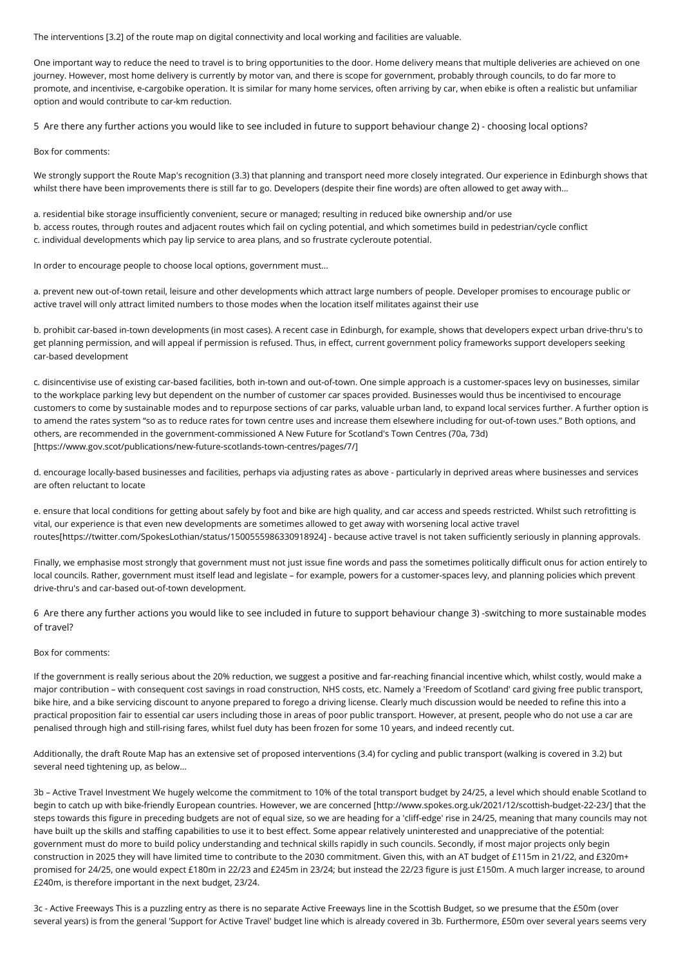The interventions [3.2] of the route map on digital connectivity and local working and facilities are valuable.

One important way to reduce the need to travel is to bring opportunities to the door. Home delivery means that multiple deliveries are achieved on one journey. However, most home delivery is currently by motor van, and there is scope for government, probably through councils, to do far more to promote, and incentivise, e-cargobike operation. It is similar for many home services, often arriving by car, when ebike is often a realistic but unfamiliar option and would contribute to car-km reduction.

5 Are there any further actions you would like to see included in future to support behaviour change 2) - choosing local options?

Box for comments:

We strongly support the Route Map's recognition (3.3) that planning and transport need more closely integrated. Our experience in Edinburgh shows that whilst there have been improvements there is still far to go. Developers (despite their fine words) are often allowed to get away with...

a. residential bike storage insufficiently convenient, secure or managed; resulting in reduced bike ownership and/or use b. access routes, through routes and adjacent routes which fail on cycling potential, and which sometimes build in pedestrian/cycle conflict c. individual developments which pay lip service to area plans, and so frustrate cycleroute potential.

In order to encourage people to choose local options, government must...

a. prevent new out-of-town retail, leisure and other developments which attract large numbers of people. Developer promises to encourage public or active travel will only attract limited numbers to those modes when the location itself militates against their use

b. prohibit car-based in-town developments (in most cases). A recent case in Edinburgh, for example, shows that developers expect urban drive-thru's to get planning permission, and will appeal if permission is refused. Thus, in effect, current government policy frameworks support developers seeking car-based development

c. disincentivise use of existing car-based facilities, both in-town and out-of-town. One simple approach is a customer-spaces levy on businesses, similar to the workplace parking levy but dependent on the number of customer car spaces provided. Businesses would thus be incentivised to encourage customers to come by sustainable modes and to repurpose sections of car parks, valuable urban land, to expand local services further. A further option is to amend the rates system "so as to reduce rates for town centre uses and increase them elsewhere including for out-of-town uses." Both options, and others, are recommended in the government-commissioned A New Future for Scotland's Town Centres (70a, 73d) [https://www.gov.scot/publications/new-future-scotlands-town-centres/pages/7/]

d. encourage locally-based businesses and facilities, perhaps via adjusting rates as above - particularly in deprived areas where businesses and services are often reluctant to locate

e. ensure that local conditions for getting about safely by foot and bike are high quality, and car access and speeds restricted. Whilst such retrofitting is vital, our experience is that even new developments are sometimes allowed to get away with worsening local active travel routes[https://twitter.com/SpokesLothian/status/1500555986330918924] - because active travel is not taken sufficiently seriously in planning approvals.

Finally, we emphasise most strongly that government must not just issue fine words and pass the sometimes politically difficult onus for action entirely to local councils. Rather, government must itself lead and legislate – for example, powers for a customer-spaces levy, and planning policies which prevent drive-thru's and car-based out-of-town development.

6 Are there any further actions you would like to see included in future to support behaviour change 3) -switching to more sustainable modes of travel?

#### Box for comments:

If the government is really serious about the 20% reduction, we suggest a positive and far-reaching financial incentive which, whilst costly, would make a major contribution – with consequent cost savings in road construction, NHS costs, etc. Namely a 'Freedom of Scotland' card giving free public transport, bike hire, and a bike servicing discount to anyone prepared to forego a driving license. Clearly much discussion would be needed to refine this into a practical proposition fair to essential car users including those in areas of poor public transport. However, at present, people who do not use a car are penalised through high and still-rising fares, whilst fuel duty has been frozen for some 10 years, and indeed recently cut.

Additionally, the draft Route Map has an extensive set of proposed interventions (3.4) for cycling and public transport (walking is covered in 3.2) but several need tightening up, as below...

3b – Active Travel Investment We hugely welcome the commitment to 10% of the total transport budget by 24/25, a level which should enable Scotland to begin to catch up with bike-friendly European countries. However, we are concerned [http://www.spokes.org.uk/2021/12/scottish-budget-22-23/] that the steps towards this figure in preceding budgets are not of equal size, so we are heading for a 'cliff-edge' rise in 24/25, meaning that many councils may not have built up the skills and staffing capabilities to use it to best effect. Some appear relatively uninterested and unappreciative of the potential: government must do more to build policy understanding and technical skills rapidly in such councils. Secondly, if most major projects only begin construction in 2025 they will have limited time to contribute to the 2030 commitment. Given this, with an AT budget of £115m in 21/22, and £320m+ promised for 24/25, one would expect £180m in 22/23 and £245m in 23/24; but instead the 22/23 figure is just £150m. A much larger increase, to around £240m, is therefore important in the next budget, 23/24.

3c - Active Freeways This is a puzzling entry as there is no separate Active Freeways line in the Scottish Budget, so we presume that the £50m (over several years) is from the general 'Support for Active Travel' budget line which is already covered in 3b. Furthermore, £50m over several years seems very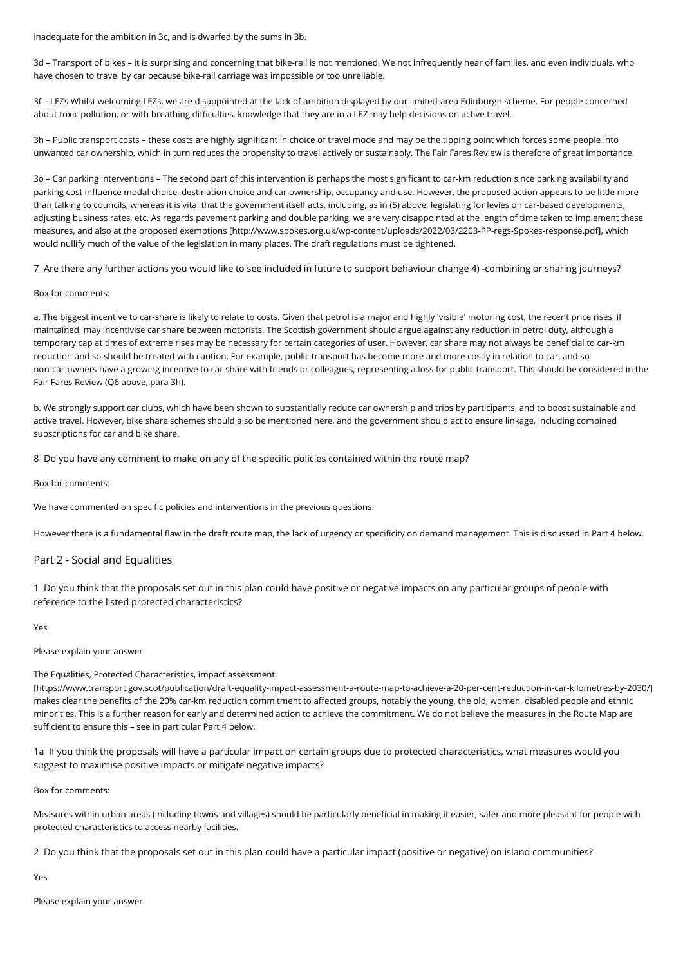inadequate for the ambition in 3c, and is dwarfed by the sums in 3b.

3d – Transport of bikes – it is surprising and concerning that bike-rail is not mentioned. We not infrequently hear of families, and even individuals, who have chosen to travel by car because bike-rail carriage was impossible or too unreliable.

3f – LEZs Whilst welcoming LEZs, we are disappointed at the lack of ambition displayed by our limited-area Edinburgh scheme. For people concerned about toxic pollution, or with breathing difficulties, knowledge that they are in a LEZ may help decisions on active travel.

3h – Public transport costs – these costs are highly significant in choice of travel mode and may be the tipping point which forces some people into unwanted car ownership, which in turn reduces the propensity to travel actively or sustainably. The Fair Fares Review is therefore of great importance.

3o – Car parking interventions – The second part of this intervention is perhaps the most significant to car-km reduction since parking availability and parking cost influence modal choice, destination choice and car ownership, occupancy and use. However, the proposed action appears to be little more than talking to councils, whereas it is vital that the government itself acts, including, as in (5) above, legislating for levies on car-based developments, adjusting business rates, etc. As regards pavement parking and double parking, we are very disappointed at the length of time taken to implement these measures, and also at the proposed exemptions [http://www.spokes.org.uk/wp-content/uploads/2022/03/2203-PP-regs-Spokes-response.pdf], which would nullify much of the value of the legislation in many places. The draft regulations must be tightened.

7 Are there any further actions you would like to see included in future to support behaviour change 4) -combining or sharing journeys?

### Box for comments:

a. The biggest incentive to car-share is likely to relate to costs. Given that petrol is a major and highly 'visible' motoring cost, the recent price rises, if maintained, may incentivise car share between motorists. The Scottish government should argue against any reduction in petrol duty, although a temporary cap at times of extreme rises may be necessary for certain categories of user. However, car share may not always be beneficial to car-km reduction and so should be treated with caution. For example, public transport has become more and more costly in relation to car, and so non-car-owners have a growing incentive to car share with friends or colleagues, representing a loss for public transport. This should be considered in the Fair Fares Review (Q6 above, para 3h).

b. We strongly support car clubs, which have been shown to substantially reduce car ownership and trips by participants, and to boost sustainable and active travel. However, bike share schemes should also be mentioned here, and the government should act to ensure linkage, including combined subscriptions for car and bike share.

8 Do you have any comment to make on any of the specific policies contained within the route map?

Box for comments:

We have commented on specific policies and interventions in the previous questions.

However there is a fundamental flaw in the draft route map, the lack of urgency or specificity on demand management. This is discussed in Part 4 below.

#### Part 2 - Social and Equalities

1 Do you think that the proposals set out in this plan could have positive or negative impacts on any particular groups of people with reference to the listed protected characteristics?

Yes

Please explain your answer:

#### The Equalities, Protected Characteristics, impact assessment

[https://www.transport.gov.scot/publication/draft-equality-impact-assessment-a-route-map-to-achieve-a-20-per-cent-reduction-in-car-kilometres-by-2030/] makes clear the benefits of the 20% car-km reduction commitment to affected groups, notably the young, the old, women, disabled people and ethnic minorities. This is a further reason for early and determined action to achieve the commitment. We do not believe the measures in the Route Map are sufficient to ensure this – see in particular Part 4 below.

1a If you think the proposals will have a particular impact on certain groups due to protected characteristics, what measures would you suggest to maximise positive impacts or mitigate negative impacts?

Box for comments:

Measures within urban areas (including towns and villages) should be particularly beneficial in making it easier, safer and more pleasant for people with protected characteristics to access nearby facilities.

2 Do you think that the proposals set out in this plan could have a particular impact (positive or negative) on island communities?

Yes

Please explain your answer: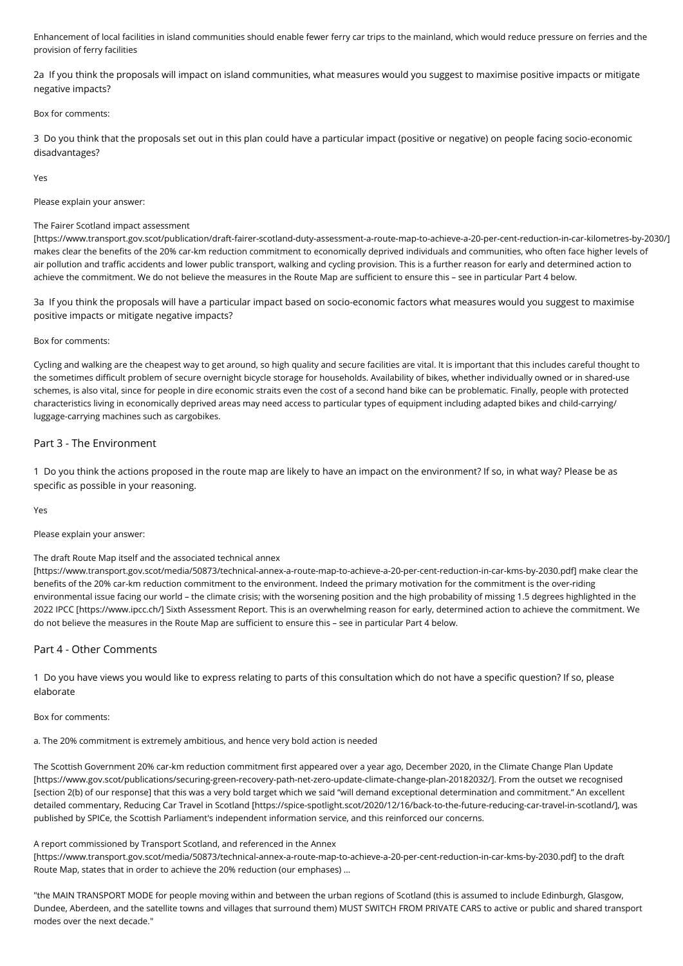Enhancement of local facilities in island communities should enable fewer ferry car trips to the mainland, which would reduce pressure on ferries and the provision of ferry facilities

2a If you think the proposals will impact on island communities, what measures would you suggest to maximise positive impacts or mitigate negative impacts?

### Box for comments:

3 Do you think that the proposals set out in this plan could have a particular impact (positive or negative) on people facing socio-economic disadvantages?

Yes

Please explain your answer:

### The Fairer Scotland impact assessment

[https://www.transport.gov.scot/publication/draft-fairer-scotland-duty-assessment-a-route-map-to-achieve-a-20-per-cent-reduction-in-car-kilometres-by-2030/] makes clear the benefits of the 20% car-km reduction commitment to economically deprived individuals and communities, who often face higher levels of air pollution and traffic accidents and lower public transport, walking and cycling provision. This is a further reason for early and determined action to achieve the commitment. We do not believe the measures in the Route Map are sufficient to ensure this – see in particular Part 4 below.

3a If you think the proposals will have a particular impact based on socio-economic factors what measures would you suggest to maximise positive impacts or mitigate negative impacts?

### Box for comments:

Cycling and walking are the cheapest way to get around, so high quality and secure facilities are vital. It is important that this includes careful thought to the sometimes difficult problem of secure overnight bicycle storage for households. Availability of bikes, whether individually owned or in shared-use schemes, is also vital, since for people in dire economic straits even the cost of a second hand bike can be problematic. Finally, people with protected characteristics living in economically deprived areas may need access to particular types of equipment including adapted bikes and child-carrying/ luggage-carrying machines such as cargobikes.

# Part 3 - The Environment

1 Do you think the actions proposed in the route map are likely to have an impact on the environment? If so, in what way? Please be as specific as possible in your reasoning.

Yes

Please explain your answer:

## The draft Route Map itself and the associated technical annex

[https://www.transport.gov.scot/media/50873/technical-annex-a-route-map-to-achieve-a-20-per-cent-reduction-in-car-kms-by-2030.pdf] make clear the benefits of the 20% car-km reduction commitment to the environment. Indeed the primary motivation for the commitment is the over-riding environmental issue facing our world – the climate crisis; with the worsening position and the high probability of missing 1.5 degrees highlighted in the 2022 IPCC [https://www.ipcc.ch/] Sixth Assessment Report. This is an overwhelming reason for early, determined action to achieve the commitment. We do not believe the measures in the Route Map are sufficient to ensure this – see in particular Part 4 below.

# Part 4 - Other Comments

1 Do you have views you would like to express relating to parts of this consultation which do not have a specific question? If so, please elaborate

Box for comments:

a. The 20% commitment is extremely ambitious, and hence very bold action is needed

The Scottish Government 20% car-km reduction commitment first appeared over a year ago, December 2020, in the Climate Change Plan Update [https://www.gov.scot/publications/securing-green-recovery-path-net-zero-update-climate-change-plan-20182032/]. From the outset we recognised [section 2(b) of our response] that this was a very bold target which we said "will demand exceptional determination and commitment." An excellent detailed commentary, Reducing Car Travel in Scotland [https://spice-spotlight.scot/2020/12/16/back-to-the-future-reducing-car-travel-in-scotland/], was published by SPICe, the Scottish Parliament's independent information service, and this reinforced our concerns.

#### A report commissioned by Transport Scotland, and referenced in the Annex

[https://www.transport.gov.scot/media/50873/technical-annex-a-route-map-to-achieve-a-20-per-cent-reduction-in-car-kms-by-2030.pdf] to the draft Route Map, states that in order to achieve the 20% reduction (our emphases) ...

"the MAIN TRANSPORT MODE for people moving within and between the urban regions of Scotland (this is assumed to include Edinburgh, Glasgow, Dundee, Aberdeen, and the satellite towns and villages that surround them) MUST SWITCH FROM PRIVATE CARS to active or public and shared transport modes over the next decade."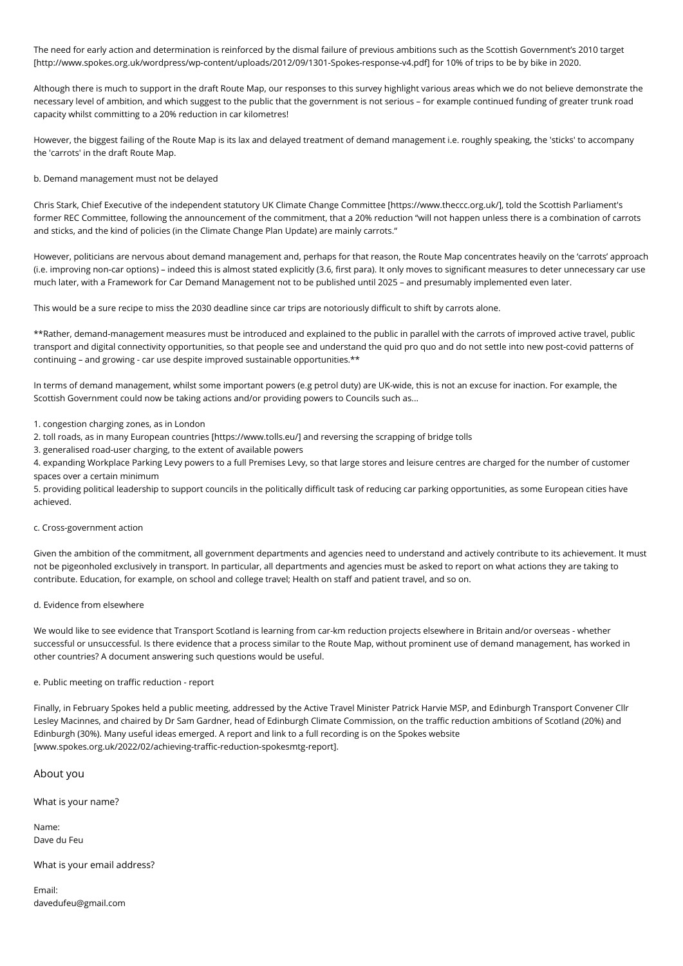The need for early action and determination is reinforced by the dismal failure of previous ambitions such as the Scottish Government's 2010 target [http://www.spokes.org.uk/wordpress/wp-content/uploads/2012/09/1301-Spokes-response-v4.pdf] for 10% of trips to be by bike in 2020.

Although there is much to support in the draft Route Map, our responses to this survey highlight various areas which we do not believe demonstrate the necessary level of ambition, and which suggest to the public that the government is not serious – for example continued funding of greater trunk road capacity whilst committing to a 20% reduction in car kilometres!

However, the biggest failing of the Route Map is its lax and delayed treatment of demand management i.e. roughly speaking, the 'sticks' to accompany the 'carrots' in the draft Route Map.

b. Demand management must not be delayed

Chris Stark, Chief Executive of the independent statutory UK Climate Change Committee [https://www.theccc.org.uk/], told the Scottish Parliament's former REC Committee, following the announcement of the commitment, that a 20% reduction "will not happen unless there is a combination of carrots and sticks, and the kind of policies (in the Climate Change Plan Update) are mainly carrots."

However, politicians are nervous about demand management and, perhaps for that reason, the Route Map concentrates heavily on the 'carrots' approach (i.e. improving non-car options) – indeed this is almost stated explicitly (3.6, first para). It only moves to significant measures to deter unnecessary car use much later, with a Framework for Car Demand Management not to be published until 2025 – and presumably implemented even later.

This would be a sure recipe to miss the 2030 deadline since car trips are notoriously difficult to shift by carrots alone.

\*\*Rather, demand-management measures must be introduced and explained to the public in parallel with the carrots of improved active travel, public transport and digital connectivity opportunities, so that people see and understand the quid pro quo and do not settle into new post-covid patterns of continuing – and growing - car use despite improved sustainable opportunities.\*\*

In terms of demand management, whilst some important powers (e.g petrol duty) are UK-wide, this is not an excuse for inaction. For example, the Scottish Government could now be taking actions and/or providing powers to Councils such as...

1. congestion charging zones, as in London

- 2. toll roads, as in many European countries [https://www.tolls.eu/] and reversing the scrapping of bridge tolls
- 3. generalised road-user charging, to the extent of available powers

4. expanding Workplace Parking Levy powers to a full Premises Levy, so that large stores and leisure centres are charged for the number of customer spaces over a certain minimum

5. providing political leadership to support councils in the politically difficult task of reducing car parking opportunities, as some European cities have achieved.

c. Cross-government action

Given the ambition of the commitment, all government departments and agencies need to understand and actively contribute to its achievement. It must not be pigeonholed exclusively in transport. In particular, all departments and agencies must be asked to report on what actions they are taking to contribute. Education, for example, on school and college travel; Health on staff and patient travel, and so on.

d. Evidence from elsewhere

We would like to see evidence that Transport Scotland is learning from car-km reduction projects elsewhere in Britain and/or overseas - whether successful or unsuccessful. Is there evidence that a process similar to the Route Map, without prominent use of demand management, has worked in other countries? A document answering such questions would be useful.

e. Public meeting on traffic reduction - report

Finally, in February Spokes held a public meeting, addressed by the Active Travel Minister Patrick Harvie MSP, and Edinburgh Transport Convener Cllr Lesley Macinnes, and chaired by Dr Sam Gardner, head of Edinburgh Climate Commission, on the traffic reduction ambitions of Scotland (20%) and Edinburgh (30%). Many useful ideas emerged. A report and link to a full recording is on the Spokes website [www.spokes.org.uk/2022/02/achieving-traffic-reduction-spokesmtg-report].

About you

What is your name?

Name: Dave du Feu

What is your email address?

Email: davedufeu@gmail.com